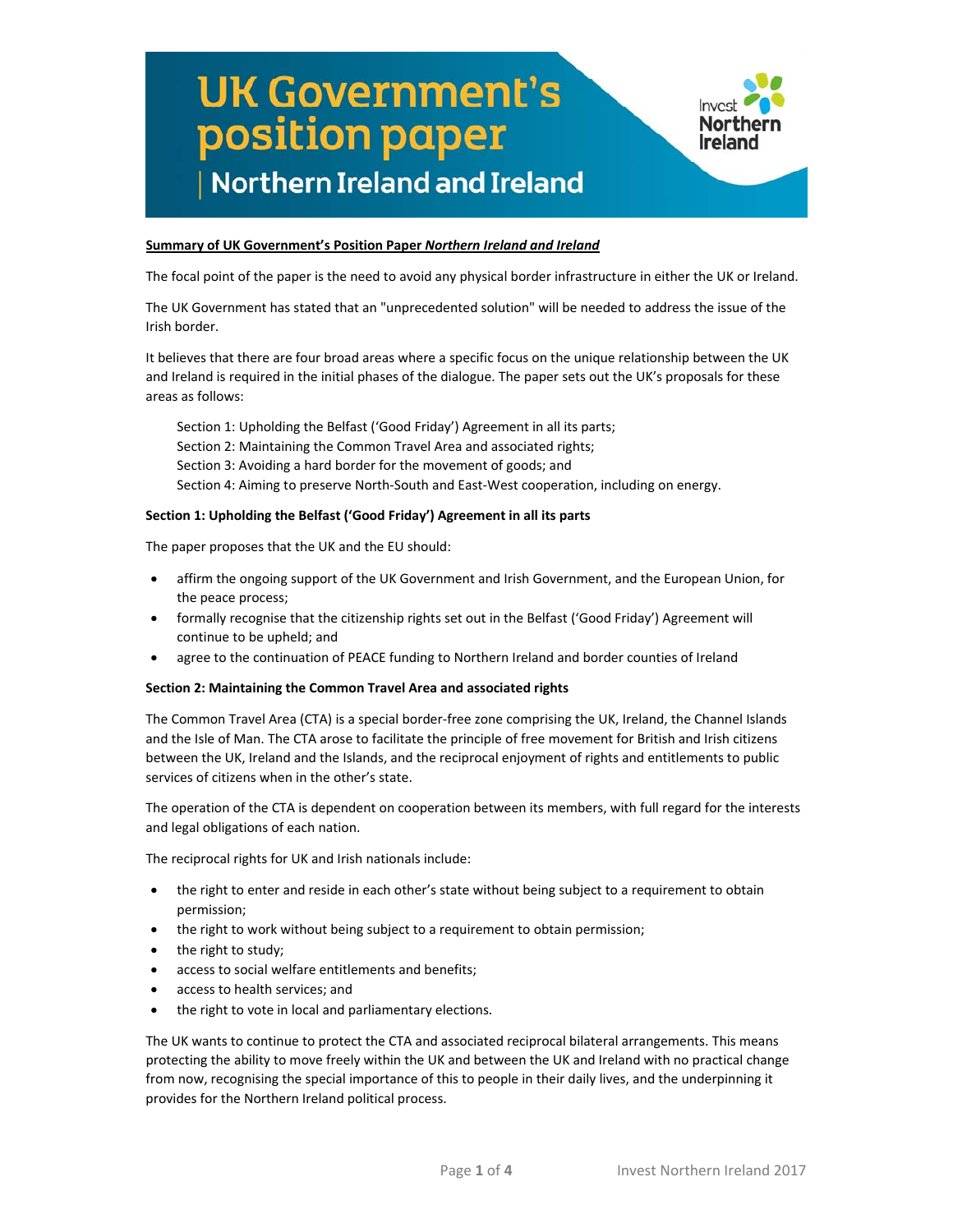

### **Summary of UK Government's Position Paper** *Northern Ireland and Ireland*

The focal point of the paper is the need to avoid any physical border infrastructure in either the UK or Ireland.

The UK Government has stated that an "unprecedented solution" will be needed to address the issue of the Irish border.

It believes that there are four broad areas where a specific focus on the unique relationship between the UK and Ireland is required in the initial phases of the dialogue. The paper sets out the UK's proposals for these areas as follows:

Section 1: Upholding the Belfast ('Good Friday') Agreement in all its parts; Section 2: Maintaining the Common Travel Area and associated rights; Section 3: Avoiding a hard border for the movement of goods; and Section 4: Aiming to preserve North‐South and East‐West cooperation, including on energy.

### **Section 1: Upholding the Belfast ('Good Friday') Agreement in all its parts**

The paper proposes that the UK and the EU should:

- affirm the ongoing support of the UK Government and Irish Government, and the European Union, for the peace process;
- formally recognise that the citizenship rights set out in the Belfast ('Good Friday') Agreement will continue to be upheld; and
- agree to the continuation of PEACE funding to Northern Ireland and border counties of Ireland

### **Section 2: Maintaining the Common Travel Area and associated rights**

The Common Travel Area (CTA) is a special border‐free zone comprising the UK, Ireland, the Channel Islands and the Isle of Man. The CTA arose to facilitate the principle of free movement for British and Irish citizens between the UK, Ireland and the Islands, and the reciprocal enjoyment of rights and entitlements to public services of citizens when in the other's state.

The operation of the CTA is dependent on cooperation between its members, with full regard for the interests and legal obligations of each nation.

The reciprocal rights for UK and Irish nationals include:

- the right to enter and reside in each other's state without being subject to a requirement to obtain permission;
- the right to work without being subject to a requirement to obtain permission;
- the right to study;
- access to social welfare entitlements and benefits;
- access to health services; and
- the right to vote in local and parliamentary elections.

The UK wants to continue to protect the CTA and associated reciprocal bilateral arrangements. This means protecting the ability to move freely within the UK and between the UK and Ireland with no practical change from now, recognising the special importance of this to people in their daily lives, and the underpinning it provides for the Northern Ireland political process.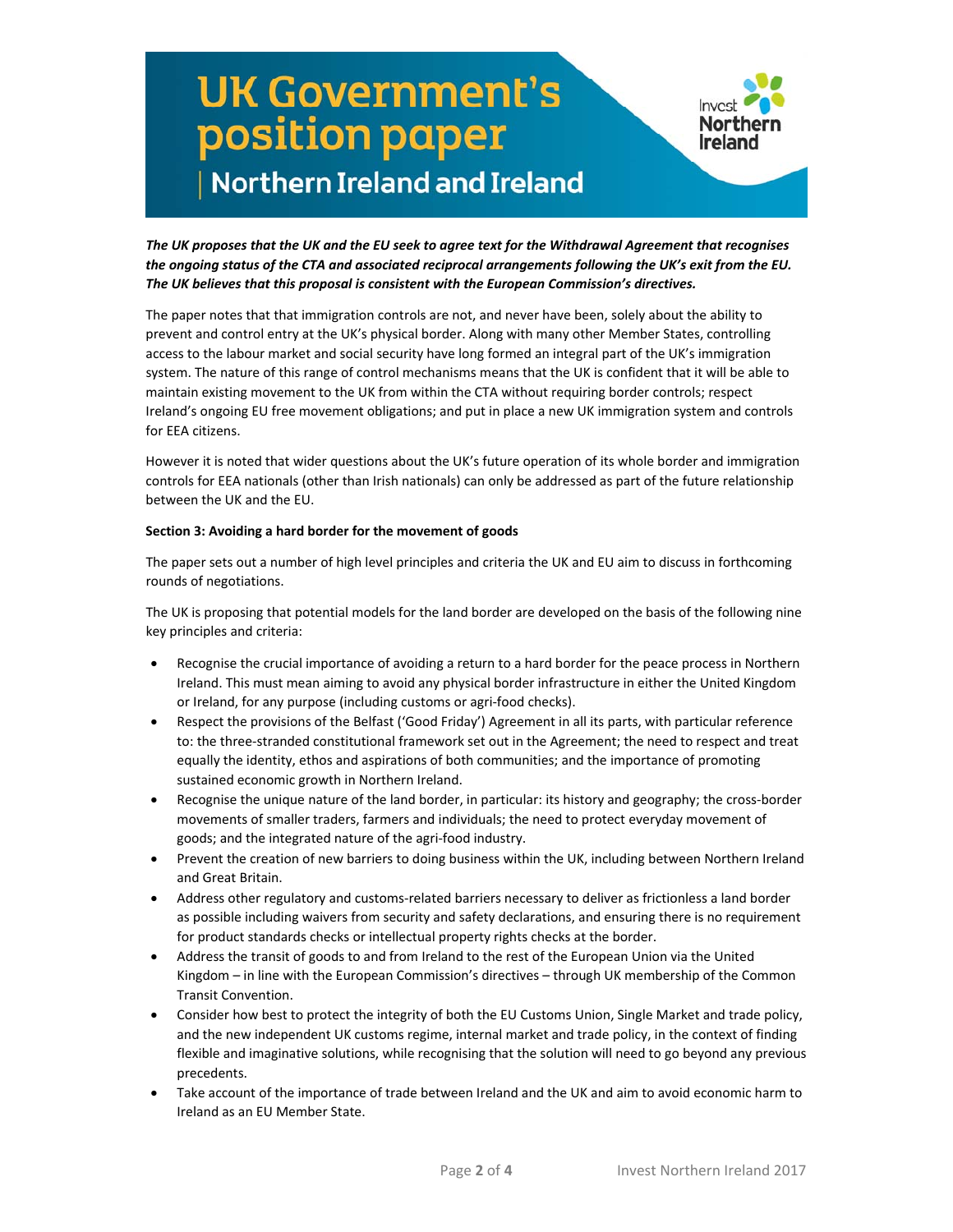

The UK proposes that the UK and the EU seek to agree text for the Withdrawal Agreement that recognises *the ongoing status of the CTA and associated reciprocal arrangements following the UK's exit from the EU. The UK believes that this proposal is consistent with the European Commission's directives.* 

The paper notes that that immigration controls are not, and never have been, solely about the ability to prevent and control entry at the UK's physical border. Along with many other Member States, controlling access to the labour market and social security have long formed an integral part of the UK's immigration system. The nature of this range of control mechanisms means that the UK is confident that it will be able to maintain existing movement to the UK from within the CTA without requiring border controls; respect Ireland's ongoing EU free movement obligations; and put in place a new UK immigration system and controls for EEA citizens.

However it is noted that wider questions about the UK's future operation of its whole border and immigration controls for EEA nationals (other than Irish nationals) can only be addressed as part of the future relationship between the UK and the EU.

### **Section 3: Avoiding a hard border for the movement of goods**

The paper sets out a number of high level principles and criteria the UK and EU aim to discuss in forthcoming rounds of negotiations.

The UK is proposing that potential models for the land border are developed on the basis of the following nine key principles and criteria:

- Recognise the crucial importance of avoiding a return to a hard border for the peace process in Northern Ireland. This must mean aiming to avoid any physical border infrastructure in either the United Kingdom or Ireland, for any purpose (including customs or agri‐food checks).
- Respect the provisions of the Belfast ('Good Friday') Agreement in all its parts, with particular reference to: the three‐stranded constitutional framework set out in the Agreement; the need to respect and treat equally the identity, ethos and aspirations of both communities; and the importance of promoting sustained economic growth in Northern Ireland.
- Recognise the unique nature of the land border, in particular: its history and geography; the cross-border movements of smaller traders, farmers and individuals; the need to protect everyday movement of goods; and the integrated nature of the agri‐food industry.
- Prevent the creation of new barriers to doing business within the UK, including between Northern Ireland and Great Britain.
- Address other regulatory and customs‐related barriers necessary to deliver as frictionless a land border as possible including waivers from security and safety declarations, and ensuring there is no requirement for product standards checks or intellectual property rights checks at the border.
- Address the transit of goods to and from Ireland to the rest of the European Union via the United Kingdom – in line with the European Commission's directives – through UK membership of the Common Transit Convention.
- Consider how best to protect the integrity of both the EU Customs Union, Single Market and trade policy, and the new independent UK customs regime, internal market and trade policy, in the context of finding flexible and imaginative solutions, while recognising that the solution will need to go beyond any previous precedents.
- Take account of the importance of trade between Ireland and the UK and aim to avoid economic harm to Ireland as an EU Member State.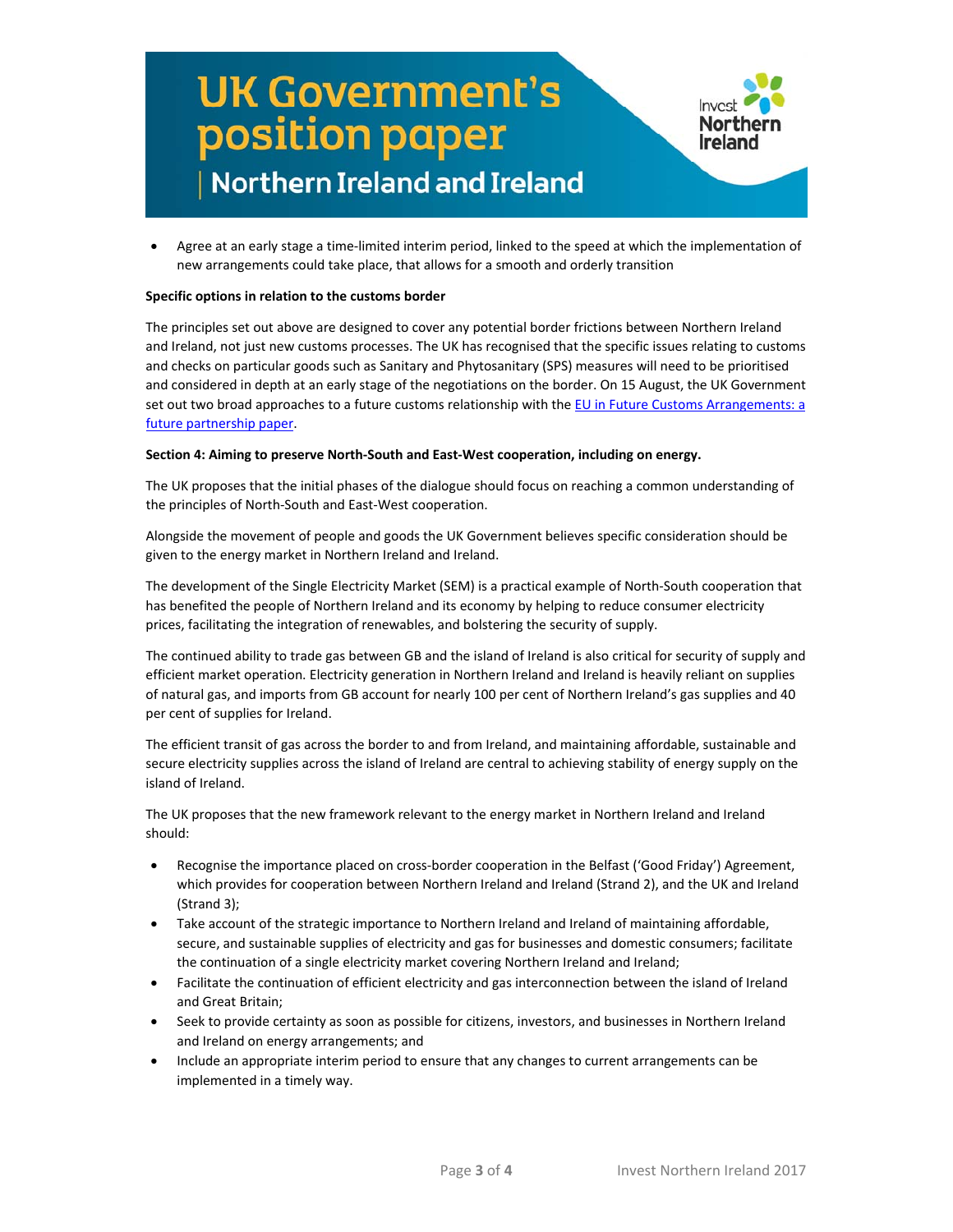

 Agree at an early stage a time‐limited interim period, linked to the speed at which the implementation of new arrangements could take place, that allows for a smooth and orderly transition

### **Specific options in relation to the customs border**

The principles set out above are designed to cover any potential border frictions between Northern Ireland and Ireland, not just new customs processes. The UK has recognised that the specific issues relating to customs and checks on particular goods such as Sanitary and Phytosanitary (SPS) measures will need to be prioritised and considered in depth at an early stage of the negotiations on the border. On 15 August, the UK Government set out two broad approaches to a future customs relationship with the EU in Future Customs [Arrangements:](https://secure.investni.com/static/library-cms/invest-ni/summary-briefings-future-customs-arrangements-a-future-partnership.pdf) a future partnership paper.

### **Section 4: Aiming to preserve North‐South and East‐West cooperation, including on energy.**

The UK proposes that the initial phases of the dialogue should focus on reaching a common understanding of the principles of North‐South and East‐West cooperation.

Alongside the movement of people and goods the UK Government believes specific consideration should be given to the energy market in Northern Ireland and Ireland.

The development of the Single Electricity Market (SEM) is a practical example of North‐South cooperation that has benefited the people of Northern Ireland and its economy by helping to reduce consumer electricity prices, facilitating the integration of renewables, and bolstering the security of supply.

The continued ability to trade gas between GB and the island of Ireland is also critical for security of supply and efficient market operation. Electricity generation in Northern Ireland and Ireland is heavily reliant on supplies of natural gas, and imports from GB account for nearly 100 per cent of Northern Ireland's gas supplies and 40 per cent of supplies for Ireland.

The efficient transit of gas across the border to and from Ireland, and maintaining affordable, sustainable and secure electricity supplies across the island of Ireland are central to achieving stability of energy supply on the island of Ireland.

The UK proposes that the new framework relevant to the energy market in Northern Ireland and Ireland should:

- Recognise the importance placed on cross‐border cooperation in the Belfast ('Good Friday') Agreement, which provides for cooperation between Northern Ireland and Ireland (Strand 2), and the UK and Ireland (Strand 3);
- Take account of the strategic importance to Northern Ireland and Ireland of maintaining affordable, secure, and sustainable supplies of electricity and gas for businesses and domestic consumers; facilitate the continuation of a single electricity market covering Northern Ireland and Ireland;
- Facilitate the continuation of efficient electricity and gas interconnection between the island of Ireland and Great Britain;
- Seek to provide certainty as soon as possible for citizens, investors, and businesses in Northern Ireland and Ireland on energy arrangements; and
- Include an appropriate interim period to ensure that any changes to current arrangements can be implemented in a timely way.